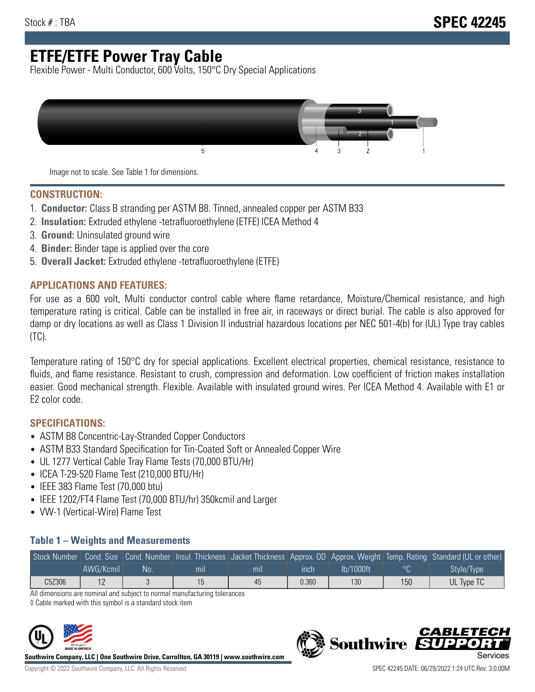# **ETFE/ETFE Power Tray Cable**

Flexible Power - Multi Conductor, 600 Volts, 150°C Dry Special Applications



Image not to scale. See Table 1 for dimensions.

#### **CONSTRUCTION:**

- 1. **Conductor:** Class B stranding per ASTM B8. Tinned, annealed copper per ASTM B33
- 2. **Insulation:** Extruded ethylene -tetrafluoroethylene (ETFE) ICEA Method 4
- 3. **Ground:** Uninsulated ground wire
- 4. **Binder:** Binder tape is applied over the core
- 5. **Overall Jacket:** Extruded ethylene -tetrafluoroethylene (ETFE)

### **APPLICATIONS AND FEATURES:**

For use as a 600 volt, Multi conductor control cable where flame retardance, Moisture/Chemical resistance, and high temperature rating is critical. Cable can be installed in free air, in raceways or direct burial. The cable is also approved for damp or dry locations as well as Class 1 Division II industrial hazardous locations per NEC 501-4(b) for (UL) Type tray cables (TC).

Temperature rating of 150°C dry for special applications. Excellent electrical properties, chemical resistance, resistance to fluids, and flame resistance. Resistant to crush, compression and deformation. Low coefficient of friction makes installation easier. Good mechanical strength. Flexible. Available with insulated ground wires. Per ICEA Method 4. Available with E1 or E2 color code.

## **SPECIFICATIONS:**

- ASTM B8 Concentric-Lay-Stranded Copper Conductors
- ASTM B33 Standard Specification for Tin-Coated Soft or Annealed Copper Wire
- UL 1277 Vertical Cable Tray Flame Tests (70,000 BTU/Hr)
- ICEA T-29-520 Flame Test (210,000 BTU/Hr)
- IEEE 383 Flame Test (70,000 btu)
- IEEE 1202/FT4 Flame Test (70,000 BTU/hr) 350kcmil and Larger
- VW-1 (Vertical-Wire) Flame Test

### **Table 1 – Weights and Measurements**

|        |                |    |     |     |       |           |         | Stock Number Cond. Size Cond. Number Insul. Thickness Jacket Thickness Approx. OD Approx. Weight Temp. Rating Standard (UL or other) |
|--------|----------------|----|-----|-----|-------|-----------|---------|--------------------------------------------------------------------------------------------------------------------------------------|
|        | AWG/Kcmil      | No | mıl | mıl | ınch  | lb/1000ft | $\circ$ | Style/Type <sup>1</sup>                                                                                                              |
| C5Z306 | 1 <sub>0</sub> |    |     | 45  | 0.360 | 130       | 150     | UL Type TC                                                                                                                           |

All dimensions are nominal and subject to normal manufacturing tolerances

◊ Cable marked with this symbol is a standard stock item



**Southwire Company, LLC | One Southwire Drive, Carrollton, GA 30119 | www.southwire.com**



**Southwire** 

CARLET